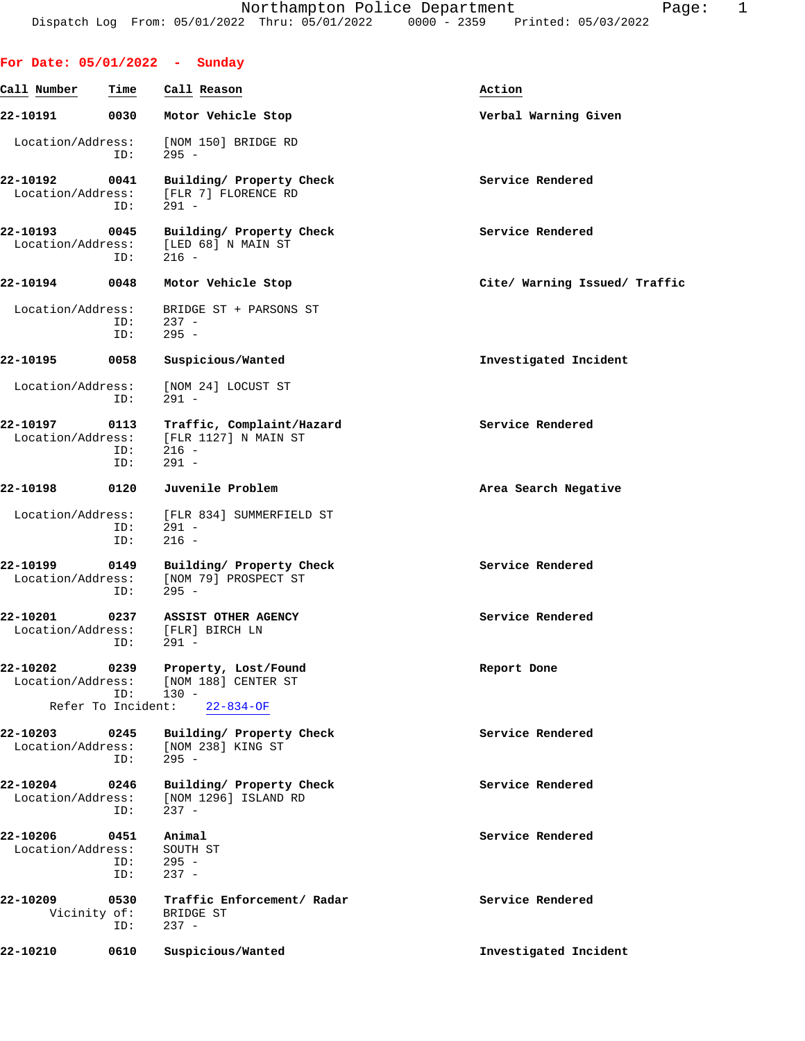|                               |                             | For Date: $05/01/2022 - Sunday$                                         |                               |
|-------------------------------|-----------------------------|-------------------------------------------------------------------------|-------------------------------|
| Call Number                   | Time                        | Call Reason                                                             | Action                        |
| 22-10191                      | 0030                        | Motor Vehicle Stop                                                      | Verbal Warning Given          |
| Location/Address:             | ID:                         | [NOM 150] BRIDGE RD<br>$295 -$                                          |                               |
| 22-10192<br>Location/Address: | 0041<br>ID:                 | Building/ Property Check<br>[FLR 7] FLORENCE RD<br>$291 -$              | Service Rendered              |
| 22-10193<br>Location/Address: | 0045<br>ID:                 | Building/ Property Check<br>[LED 68] N MAIN ST<br>$216 -$               | Service Rendered              |
| 22-10194                      | 0048                        | Motor Vehicle Stop                                                      | Cite/ Warning Issued/ Traffic |
| Location/Address:             | ID:<br>ID:                  | BRIDGE ST + PARSONS ST<br>$237 -$<br>$295 -$                            |                               |
| 22-10195                      | 0058                        | Suspicious/Wanted                                                       | Investigated Incident         |
| Location/Address:             | ID:                         | [NOM 24] LOCUST ST<br>$291 -$                                           |                               |
| 22-10197<br>Location/Address: | 0113<br>ID:<br>ID:          | Traffic, Complaint/Hazard<br>[FLR 1127] N MAIN ST<br>$216 -$<br>$291 -$ | Service Rendered              |
| 22-10198                      | 0120                        | Juvenile Problem                                                        | Area Search Negative          |
| Location/Address:             | ID:<br>ID:                  | [FLR 834] SUMMERFIELD ST<br>$291 -$<br>$216 -$                          |                               |
| 22-10199<br>Location/Address: | 0149<br>ID:                 | Building/ Property Check<br>[NOM 79] PROSPECT ST<br>$295 -$             | Service Rendered              |
| 22-10201<br>Location/Address: | 0237<br>ID:                 | ASSIST OTHER AGENCY<br>[FLR] BIRCH LN<br>291 -                          | Service Rendered              |
| 22-10202<br>Location/Address: | 0239                        | Property, Lost/Found<br>[NOM 188] CENTER ST                             | Report Done                   |
|                               | ID:<br>Refer To Incident:   | $130 -$<br>$22 - 834 - OF$                                              |                               |
| 22-10203<br>Location/Address: | 0245<br>ID:                 | Building/ Property Check<br>[NOM 238] KING ST<br>$295 -$                | Service Rendered              |
| 22-10204<br>Location/Address: | 0246<br>ID:                 | Building/ Property Check<br>[NOM 1296] ISLAND RD<br>$237 -$             | Service Rendered              |
| 22-10206<br>Location/Address: | 0451<br>ID:<br>ID:          | Animal<br>SOUTH ST<br>$295 -$<br>$237 -$                                | Service Rendered              |
| 22-10209                      | 0530<br>Vicinity of:<br>ID: | Traffic Enforcement/ Radar<br>BRIDGE ST<br>$237 -$                      | Service Rendered              |
| 22-10210                      | 0610                        | Suspicious/Wanted                                                       | Investigated Incident         |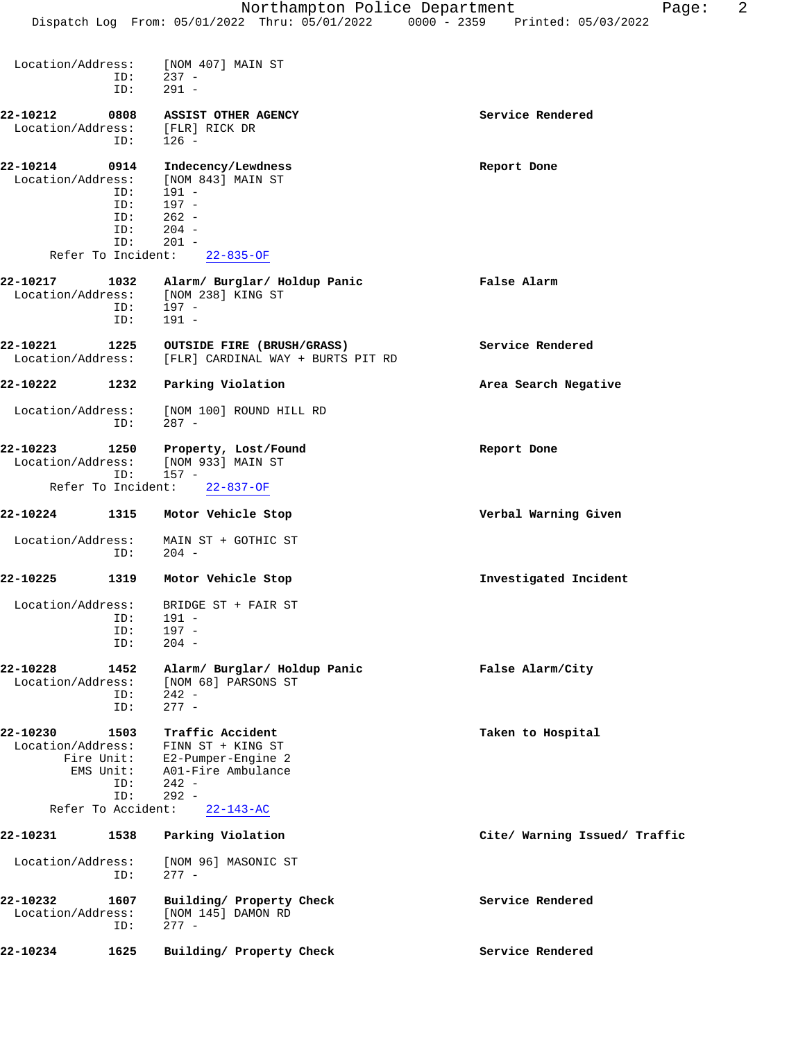| Location/Address:<br>ID:<br>ID:                                                                      | [NOM 407] MAIN ST<br>$237 -$<br>$291 -$                                                                                    |                               |
|------------------------------------------------------------------------------------------------------|----------------------------------------------------------------------------------------------------------------------------|-------------------------------|
| 22-10212<br>0808                                                                                     | ASSIST OTHER AGENCY                                                                                                        | Service Rendered              |
| Location/Address:<br>ID:                                                                             | [FLR] RICK DR<br>$126 -$                                                                                                   |                               |
| 0914<br>22-10214<br>Location/Address:<br>ID:<br>ID:<br>ID:                                           | Indecency/Lewdness<br>[NOM 843] MAIN ST<br>191 -<br>$197 -$<br>$262 -$<br>$204 -$                                          | Report Done                   |
| ID:<br>ID:<br>Refer To Incident:                                                                     | $201 -$<br>$22 - 835 - OF$                                                                                                 |                               |
| 22-10217<br>1032<br>Location/Address:<br>ID:<br>ID:                                                  | Alarm/ Burglar/ Holdup Panic<br>[NOM 238] KING ST<br>197 -<br>$191 -$                                                      | False Alarm                   |
| 22-10221<br>1225<br>Location/Address:                                                                | OUTSIDE FIRE (BRUSH/GRASS)<br>[FLR] CARDINAL WAY + BURTS PIT RD                                                            | Service Rendered              |
| 22-10222<br>1232                                                                                     | Parking Violation                                                                                                          | Area Search Negative          |
| Location/Address:<br>ID:                                                                             | [NOM 100] ROUND HILL RD<br>$287 -$                                                                                         |                               |
| 22-10223<br>1250<br>Location/Address:<br>ID:                                                         | Property, Lost/Found<br>[NOM 933] MAIN ST<br>157 -                                                                         | Report Done                   |
| Refer To Incident:                                                                                   | $22 - 837 - OF$                                                                                                            |                               |
| 22-10224<br>1315                                                                                     | Motor Vehicle Stop                                                                                                         | Verbal Warning Given          |
| Location/Address:<br>ID:                                                                             | MAIN ST + GOTHIC ST<br>$204 -$                                                                                             |                               |
| 22-10225<br>1319                                                                                     | Motor Vehicle Stop                                                                                                         | Investigated Incident         |
| Location/Address:<br>ID:<br>ID:<br>ID:                                                               | BRIDGE ST + FAIR ST<br>$191 -$<br>197 -<br>$204 -$                                                                         |                               |
| 22-10228<br>1452<br>Location/Address:<br>ID:<br>ID:                                                  | Alarm/ Burglar/ Holdup Panic<br>[NOM 68] PARSONS ST<br>$242 -$<br>$277 -$                                                  | False Alarm/City              |
| 22-10230<br>1503<br>Location/Address:<br>Fire Unit:<br>EMS Unit:<br>ID:<br>ID:<br>Refer To Accident: | Traffic Accident<br>FINN ST + KING ST<br>E2-Pumper-Engine 2<br>A01-Fire Ambulance<br>$242 -$<br>$292 -$<br>$22 - 143 - AC$ | Taken to Hospital             |
| 22-10231<br>1538                                                                                     | Parking Violation                                                                                                          | Cite/ Warning Issued/ Traffic |
| Location/Address:<br>ID:                                                                             | [NOM 96] MASONIC ST<br>$277 -$                                                                                             |                               |
| 22-10232<br>1607<br>Location/Address:<br>ID:                                                         | Building/ Property Check<br>[NOM 145] DAMON RD<br>$277 -$                                                                  | Service Rendered              |
| 22-10234<br>1625                                                                                     | Building/ Property Check                                                                                                   | Service Rendered              |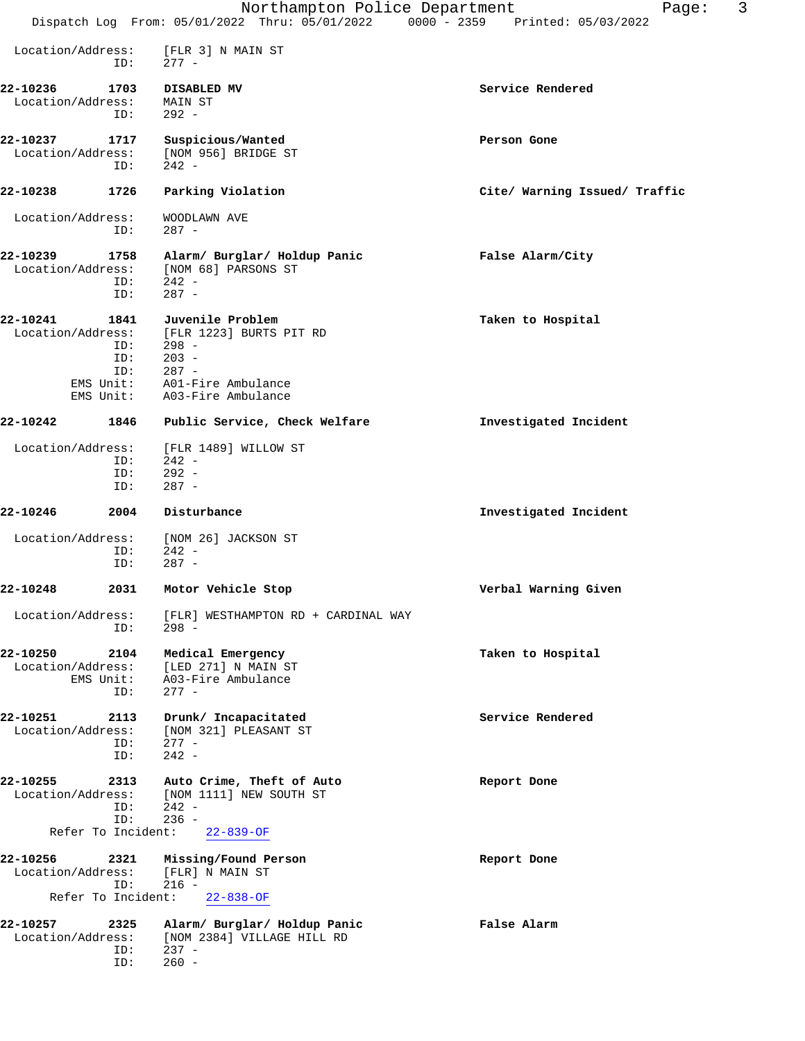|                               |                                             | Northampton Police Department<br>Dispatch Log From: 05/01/2022 Thru: 05/01/2022 0000 - 2359 Printed: 05/03/2022             | 3<br>Page:                    |
|-------------------------------|---------------------------------------------|-----------------------------------------------------------------------------------------------------------------------------|-------------------------------|
|                               |                                             |                                                                                                                             |                               |
| Location/Address:             | ID:                                         | [FLR 3] N MAIN ST<br>$277 -$                                                                                                |                               |
| 22-10236<br>Location/Address: | 1703<br>ID:                                 | DISABLED MV<br>MAIN ST<br>$292 -$                                                                                           | Service Rendered              |
| 22-10237<br>Location/Address: | 1717<br>ID:                                 | Suspicious/Wanted<br>[NOM 956] BRIDGE ST<br>$242 -$                                                                         | Person Gone                   |
| 22-10238                      | 1726                                        | Parking Violation                                                                                                           | Cite/ Warning Issued/ Traffic |
| Location/Address:             | ID:                                         | WOODLAWN AVE<br>$287 -$                                                                                                     |                               |
| 22-10239<br>Location/Address: | 1758<br>ID:<br>ID:                          | Alarm/ Burglar/ Holdup Panic<br>[NOM 68] PARSONS ST<br>242 -<br>$287 -$                                                     | False Alarm/City              |
| 22-10241<br>Location/Address: | ID:<br>ID:<br>ID:<br>EMS Unit:<br>EMS Unit: | 1841 Juvenile Problem<br>[FLR 1223] BURTS PIT RD<br>298 -<br>$203 -$<br>$287 -$<br>A01-Fire Ambulance<br>A03-Fire Ambulance | Taken to Hospital             |
| 22-10242                      | 1846                                        | Public Service, Check Welfare                                                                                               | Investigated Incident         |
| Location/Address:             | ID:<br>ID:<br>ID:                           | [FLR 1489] WILLOW ST<br>$242 -$<br>$292 -$<br>$287 -$                                                                       |                               |
| 22-10246                      | 2004                                        | Disturbance                                                                                                                 | Investigated Incident         |
| Location/Address:             | ID:<br>ID:                                  | [NOM 26] JACKSON ST<br>- 242 -<br>$287 -$                                                                                   |                               |
| 22-10248                      |                                             | 2031 Motor Vehicle Stop                                                                                                     | Verbal Warning Given          |
| Location/Address:             | ID:                                         | [FLR] WESTHAMPTON RD + CARDINAL WAY<br>$298 -$                                                                              |                               |
| 22-10250<br>Location/Address: | 2104<br>EMS Unit:<br>ID:                    | Medical Emergency<br>[LED 271] N MAIN ST<br>A03-Fire Ambulance<br>$277 -$                                                   | Taken to Hospital             |
| 22-10251<br>Location/Address: | 2113<br>ID:<br>ID:                          | Drunk/ Incapacitated<br>[NOM 321] PLEASANT ST<br>$277 -$<br>$242 -$                                                         | Service Rendered              |
| 22-10255<br>Location/Address: | 2313<br>ID:<br>ID:                          | Auto Crime, Theft of Auto<br>[NOM 1111] NEW SOUTH ST<br>242 -<br>$236 -$                                                    | Report Done                   |
| Refer To Incident:            |                                             | $22 - 839 - OF$                                                                                                             |                               |
| 22-10256<br>Location/Address: | 2321<br>ID:                                 | Missing/Found Person<br>[FLR] N MAIN ST<br>$216 -$                                                                          | Report Done                   |
| Refer To Incident:            |                                             | $22 - 838 - OF$                                                                                                             |                               |
| 22-10257<br>Location/Address: | 2325<br>ID:                                 | Alarm/ Burglar/ Holdup Panic<br>[NOM 2384] VILLAGE HILL RD<br>$237 -$                                                       | False Alarm                   |
|                               | ID:                                         | $260 -$                                                                                                                     |                               |